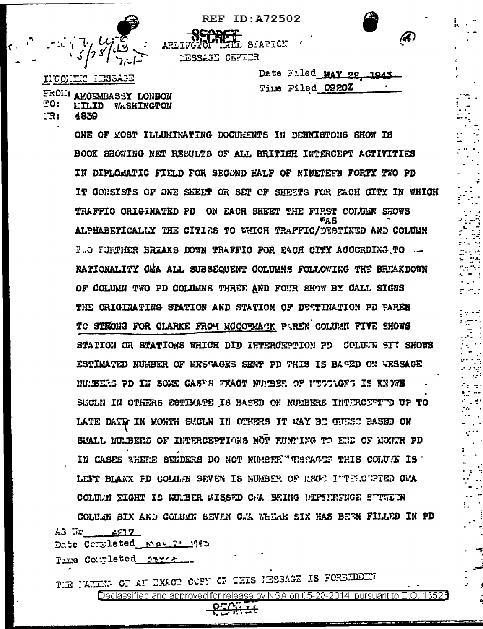

IICONTIC IESSAGE

4839

<u> "</u>0:

IR:

FROL' AKCEMBASSY LONDON

**LILID WASHINGTON** 

Date Fuled MAY 22 1043 Time Filed 0920Z

hB.

ONE OF KOST ILLUMINATING DOCUMENTS IN DENNISTONS SHOW IS BOOK SHOWING NET RESULTS OF ALL BRITIEH INTERCEPT ACTIVITIES IN DIPLOMATIC FIELD FOR SECOND HALF OF NINETEFN FORTY TWO PD IT CONSISTS OF ONE SHEET OR SET OF SHEETS FOR EACH CITY IN WHICH TRAFFIC ORIGINATED PD ON EACH SHEET THE FIPST COLUMN SHOWS **VAS** ALPHABETICALLY THE CITIRS TO WHICH TRAFFIC/DESTINED AND COLUMN **F.. C FURTHER BREAKS DOWN TRAFFIC FOR EACH CITY ACCORDING TO ...** NATIONALITY CEA ALL SUBSEQUENT COLUMNS FOLLOWING THE BETAKDOWN OF COLUMN TWO PD COLUMNS THREE AND FOUR SHOW BY CALL SIGNS THE ORIGINATING STATION AND STATION OF DESTINATION PD PAREN TO STRONG FOR CLARKE FROM MCCOPMACK PAREN COLUMN FIVE SHOWS STATION OR STATIONS WHICH DID IETERGEPTION PD COLUUN SIT SHOWS ESTIMATED NUMBER OF HESTAGES SENT PD THIS IS BASED ON WESSAGE NUMBERS PD IN SOME CASES FXACT NUMBER OF PESSAGES IS KNOWS SLOLN IN OTHERS ESTIMATE IS BASED ON NULBERE INTERCETT OF TO LATE DATE IN MONTH SMOLN IN OTHERS IT MAY BE CUESE BASED ON SEALL NULBERS OF INTERCEPTIONS NOT FUNNING TO END OF MONTH PD IN CASES THETE SENDERS DO NOT NUMBER "TRACKETS THIS COLUGN IS LEFT BLANK FD COLUGN SEVEN IS NUMBER OF 1980 I'TERCUPIED CMA COLUL'N EIGHT IS NUMBER WISSED CHA BEING DEFEIRENCE STUDIN COLUGN SIX AND COLUGN SEVEN CAR WHEAR SIX HAS BEEN FILLED IN PD 43 Gr  $4517$ Date Completed May 21 1943

**REF ID: A72502** 

ARLINGTOT

MESSAGE CEFILE

L SIAPICK

Time Completed ARTIX

THE MAXIME OF AF EXACT COFF OF THIS HESSAGE IS FORSIDDEM Declassified and approved for release by NSA on 05-28-2014 pursuant to E.O. 13526

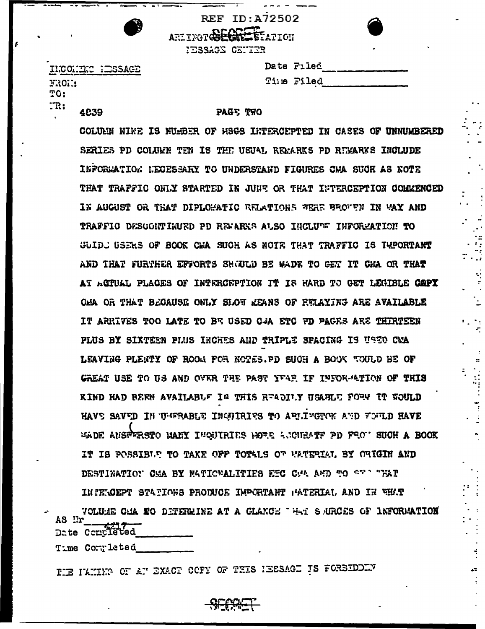**REF ID: A72502** ARLINGTQ CONTRESS AFTON

HESSAGE CENTER

ILCOME MESAGE FROM: TO:  $\mathbb{T} \mathbb{R}$  : 4839

| Date Filed |
|------------|
| Time Filed |

 $\mathcal{A}$ 

## PAGE TWO

COLUMN NINE IS NUMBER OF HSGS INTERCEPTED IN CASES OF UNNUMBERED SERIES PD COLUEN TEN IS THE USUAL REFARKS PD REFARKS INCLUDE INFORMATION NECESSARY TO UNDERSTAND FIGURES OWA SUCH AS NOTE THAT TRAFFIC ONLY STARTED IN JUNE OR THAT INTERCEPTION COMMENCED IN AUGUST OR THAT DIPLOMATIC RELATIONS WERE BROUGH IN WAY AND TRAFFIC DESCORTIKUED PD REMARKS ALSO INCLUDE INFORMATION TO GUIDE USERS OF BOOK CWA SUCH AS NOTE THAT TRAFFIC IS TUPORTART AND THAT FURTHER EFFORTS SHOULD BE WADE TO GET IT CHA OR THAT AT ACTUAL PLACES OF INTERCEPTION IT IS HARD TO GET LEGIBLE GOPY CMA OR THAT BEGAUSE ONLY SLOW REANS OF RULAYING ARE AVAILABLE IT ARRIVES TOO LATE TO BR USED CAA ETC PD PAGES ARE THIRTEEN PLUS BY SIXTEEN PLUS INCHES AND TRIPLE SPACING IS USED CMA LEAVING PLENTY OF ROOM FOR NOTES. PD SUCH A BOOK TOULD BE OF GREAT USE TO US AND OVER THE PAST YFAR IF INFORMATION OF THIS KIND HAD BEEN AVAILABLE IN THIS READILY USABLE FORE IT WOULD HAVE SAVED IN UNFRABLE INGUIRIES TO ARUINGTON AND FOULD HAVE WADE ANSTERSTO MANY INQUIRIES MOTE ACCUEATE PD FROM SUCH A BOOK IT IS POSSIBLE TO TAKE OFF TOTALS OF WATERIAL BY ORIGIN AND DESTINATION CMA BY MATICNALITIES ETC CMA AND TO SEN TEAT IN PERCEPT STATIONS PRODUCE IMPORTANT PATERIAL AND IN WHAT

VOLUGE CAA EO DETERMINE AT A CLANCE THAT SURCES OF INFORMATION AS Ir Date Completed

Tume Cornuleted

THE ILMING OF AT EXACT COFY OF THIS IEESAGE IS FORBIDDEN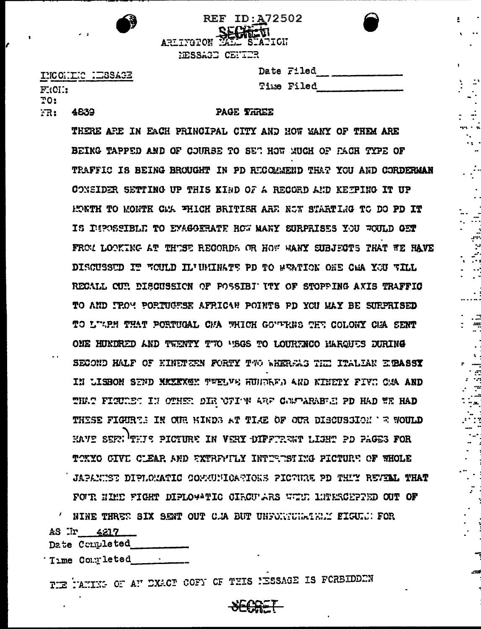

**REF ID: A72502** SECHELTI ARLIYGTON E STATICH

MESSAGE CENTER

INCONTIC IESSAGE  $F:01:$  $TO:$ FR: 4839

Þ

| Date Filed |
|------------|
| Time Filed |

 $\tilde{\mathbf{z}}$ 

- 21

., .

 $\ddot{\cdot}$ 

 $\mathbf{r}$  .

.<br>مب  $\mathcal{C}$ 

 $\ddot{\mathcal{L}}$ 

. . . . . .<br>. **. . . .** .

. ...<br>. ...

 $\mathbf{r}$  .

. ...<br>. ...

. .<br>...

 $\sim$ 

 $\mathbb{R}^2$ 

## PAGE THREE

THERE ARE IN EACH PRINCIPAL CITY AND HOW MANY OF THEM ARE BEING TAPPED AND OF COURSE TO SET HOW MUCH OF PACH TYPE OF TRAFFIC IS BEING BROUGHT IN PD RECOMMEND THAT YOU AND CORDERMAN CONSIDER SETTING UP THIS KIND OF A RECORD AND KETPING IT UP HONTH TO MONTH CMA FHICH BRITISH ARE NOT STARTING TO DO PD IT IS DEPOSSIBLE TO EYAGGERATE HOW MANY SURPRISES YOU WOULD GET FROM LOOKING AT THUSE RECORDS OR HOW WANY SUBJECTS THAT WE HAVE DISCUSSED IT WOULD IL'UNINATE PD TO WEATION ONE CHA YOU WILL RECALL CUP. DISCUSSION OF POSSIBI ITY OF STOPPING AXIS TRAFFIC TO AND TROM PORTUGESE AFRICAN POINTS PD YOU MAY BE SURPRISED TO LIKPH THAT PORTUGAL CHA WHICH GOVIKNS THE COLONY CHA SENT ONE HUNDRED AND TWENTY TWO "ISGS TO LOURFNCO HARQUES DURING SECOND HALF OF HINETEEN FORTY TWO WHEREAS THE ITALIAN EIRASSY IN LISBON SEND MAXAXMAY TWELVE HUNDARD AND NINETY FIVE CAA AND THAT FIGURED IN OTHER DIR UFION ARE COMPARABLE PD HAD WE HAD THESE FIGURES IN OUR KINDS AT TIME OF OUR DISCUSSION 'E WOULD HAVE SEFT THIS PICTURE IN VERY DIFFURENT LIGHT PD PAGES FOR TOKYO CIVE CLEAR AND EXTREMILY INTERISTING PICTURE OF WHOLE JAPANIST DIPLOMATIC COMMUNICATIONS PICTURE PD THIT REVILL THAT FOUR HIME FIGHT DIPLOYATIC CIRCULARS WHIT LUTERCEPPED OUT OF NINE THREE SIX SENT OUT C.A BUT UNFORTURATELY FIGURE FOR

AS Ir 4217

Date Completed

Time Completed ...

TIE TAMING OF AN EXACT COFY OF THIS IESSAGE IS FORBIDDEN

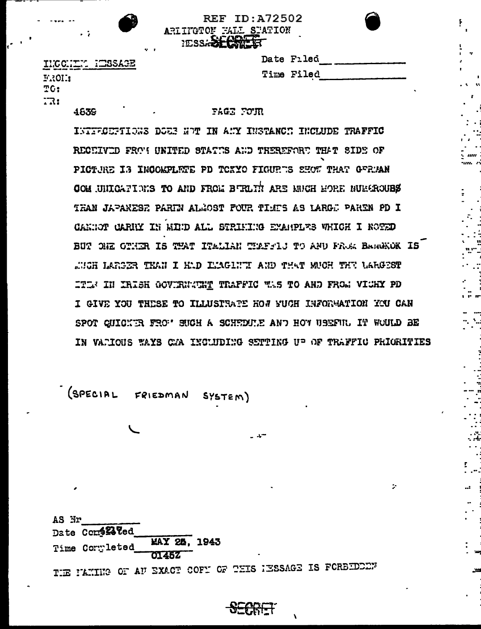|                       |  | <b>REF ID: A72502</b> |  |
|-----------------------|--|-----------------------|--|
| RIINGTON FALL STATION |  |                       |  |
| PESS-SECREET          |  |                       |  |

F.

.<br>. . .

 $\frac{1}{2}$ 

INCONTY HESSAGE **FROL:** TG:  $17:$ 

4839

## **PAGE FOUR**

Date Filed

Time Filed

 $\mathcal{L}$  . The contract of  $\mathcal{L}$ 

 $\mathbb{R}^2$ 

INTERCEPTIONS DOES NOT IN ANY INSTANCE INCLUDE TRAFFIC RECEIVED FROM UNITED STATES AND THEREFORE THAT SIDE OF PICTURE IS INCOMPLETE PD TOXYO FIGURES SHOT THAT GERMAN COM UNICATIONS TO AND FROM BURLIN ARE MUCH HORE NUMEROUSS THAN JAPANESH PARIN ALMOST FOUR TIMES AS LARGE PAREN PD I CANNOT CARRY IN MIND ALL STRIMING EXAMPLES WHICH I ROTED BUT ONE OTHER IS THAT ITALIAN THATSES TO AND FROM BARGHOK IS THE LARSER THAN I HAD IMAGINT AND THAT MUCH THE LARGEST ITI IN IRISH GOVIRNATHY TRAFFIC TAS TO AND FROM VICHY PD I GIVE YOU THESE TO ILLUSITATE HOW YUCH INFORMATION YOU CAN SPOT CUICKER FROM SUCH A SCHEDULE AND HOW USEFUL IT WOULD BE IN VARIOUS WAYS CAA INCLUDING SETTING UP OF TRAFFIC PRIORITIES

(SPECIAL FRIEDMAN SYSTEM)

| AS Nr |                 |  |                                 |  |  |                |                                                          |
|-------|-----------------|--|---------------------------------|--|--|----------------|----------------------------------------------------------|
|       | Date Com422 Ted |  |                                 |  |  |                |                                                          |
|       | Time Completed  |  | <b>MAY 25, 1943</b><br>$-01452$ |  |  | $\blacksquare$ |                                                          |
|       |                 |  |                                 |  |  |                | TIE PANING OF AU EXACT COFY OF THIS IESSAGE IS FORBIDED. |